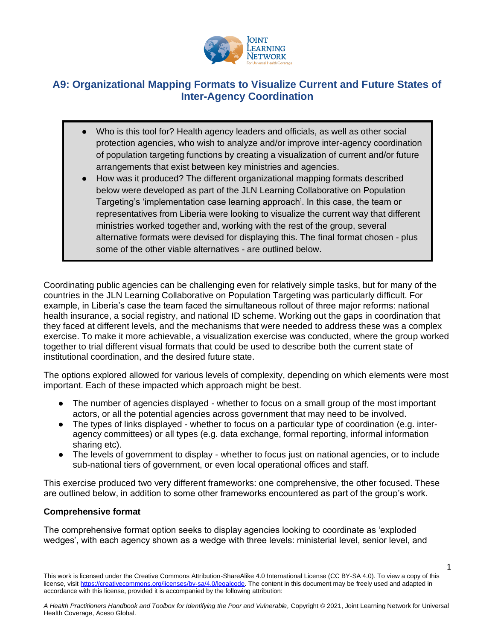

## **A9: Organizational Mapping Formats to Visualize Current and Future States of Inter-Agency Coordination**

- Who is this tool for? Health agency leaders and officials, as well as other social protection agencies, who wish to analyze and/or improve inter-agency coordination of population targeting functions by creating a visualization of current and/or future arrangements that exist between key ministries and agencies.
- How was it produced? The different organizational mapping formats described below were developed as part of the JLN Learning Collaborative on Population Targeting's 'implementation case learning approach'. In this case, the team or representatives from Liberia were looking to visualize the current way that different ministries worked together and, working with the rest of the group, several alternative formats were devised for displaying this. The final format chosen - plus some of the other viable alternatives - are outlined below.

Coordinating public agencies can be challenging even for relatively simple tasks, but for many of the countries in the JLN Learning Collaborative on Population Targeting was particularly difficult. For example, in Liberia's case the team faced the simultaneous rollout of three major reforms: national health insurance, a social registry, and national ID scheme. Working out the gaps in coordination that they faced at different levels, and the mechanisms that were needed to address these was a complex exercise. To make it more achievable, a visualization exercise was conducted, where the group worked together to trial different visual formats that could be used to describe both the current state of institutional coordination, and the desired future state.

The options explored allowed for various levels of complexity, depending on which elements were most important. Each of these impacted which approach might be best.

- The number of agencies displayed whether to focus on a small group of the most important actors, or all the potential agencies across government that may need to be involved.
- The types of links displayed whether to focus on a particular type of coordination (e.g. interagency committees) or all types (e.g. data exchange, formal reporting, informal information sharing etc).
- The levels of government to display whether to focus just on national agencies, or to include sub-national tiers of government, or even local operational offices and staff.

This exercise produced two very different frameworks: one comprehensive, the other focused. These are outlined below, in addition to some other frameworks encountered as part of the group's work.

## **Comprehensive format**

The comprehensive format option seeks to display agencies looking to coordinate as 'exploded wedges', with each agency shown as a wedge with three levels: ministerial level, senior level, and

1

This work is licensed under the Creative Commons Attribution-ShareAlike 4.0 International License (CC BY-SA 4.0). To view a copy of this license, visi[t https://creativecommons.org/licenses/by-sa/4.0/legalcode.](https://creativecommons.org/licenses/by-sa/4.0/legalcode) The content in this document may be freely used and adapted in accordance with this license, provided it is accompanied by the following attribution: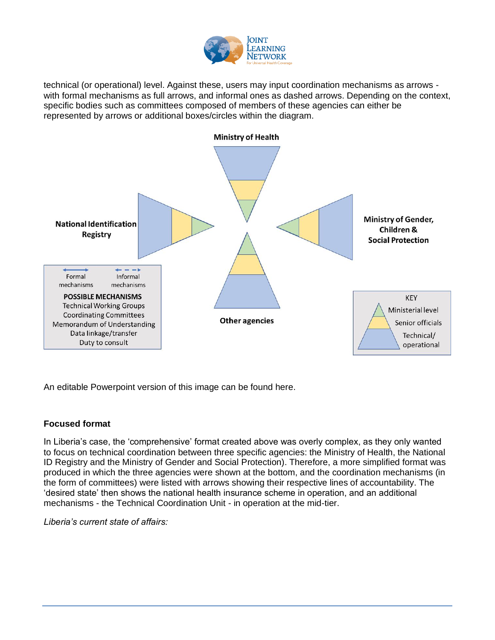

technical (or operational) level. Against these, users may input coordination mechanisms as arrows with formal mechanisms as full arrows, and informal ones as dashed arrows. Depending on the context, specific bodies such as committees composed of members of these agencies can either be represented by arrows or additional boxes/circles within the diagram.



An editable Powerpoint version of this image can be found here.

## **Focused format**

In Liberia's case, the 'comprehensive' format created above was overly complex, as they only wanted to focus on technical coordination between three specific agencies: the Ministry of Health, the National ID Registry and the Ministry of Gender and Social Protection). Therefore, a more simplified format was produced in which the three agencies were shown at the bottom, and the coordination mechanisms (in the form of committees) were listed with arrows showing their respective lines of accountability. The 'desired state' then shows the national health insurance scheme in operation, and an additional mechanisms - the Technical Coordination Unit - in operation at the mid-tier.

*Liberia's current state of affairs:*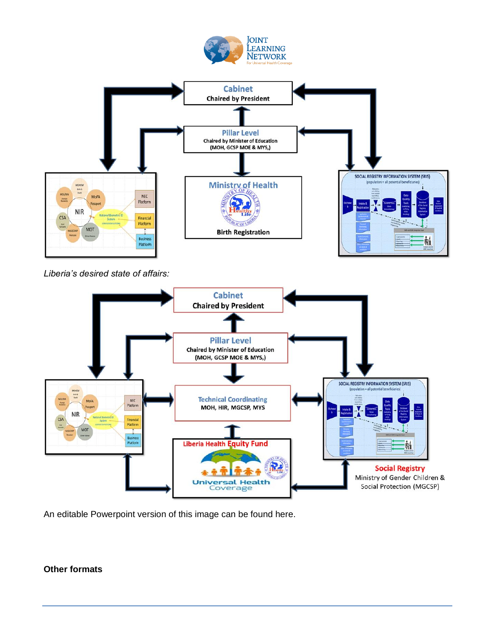



*Liberia's desired state of affairs:*



An editable Powerpoint version of this image can be found here.

## **Other formats**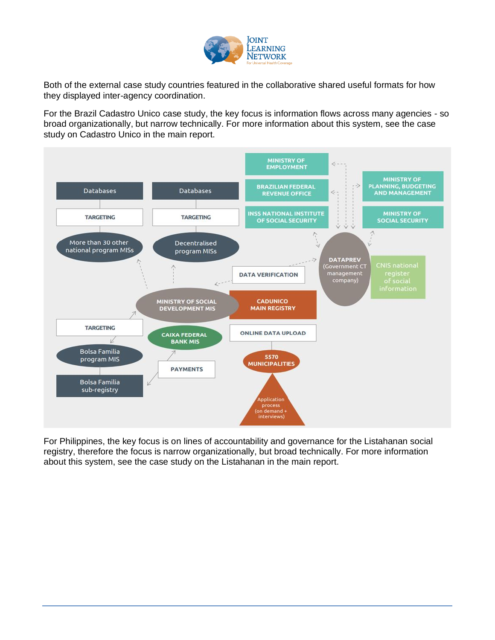

Both of the external case study countries featured in the collaborative shared useful formats for how they displayed inter-agency coordination.

For the Brazil Cadastro Unico case study, the key focus is information flows across many agencies - so broad organizationally, but narrow technically. For more information about this system, see the case study on Cadastro Unico in the main report.



For Philippines, the key focus is on lines of accountability and governance for the Listahanan social registry, therefore the focus is narrow organizationally, but broad technically. For more information about this system, see the case study on the Listahanan in the main report.